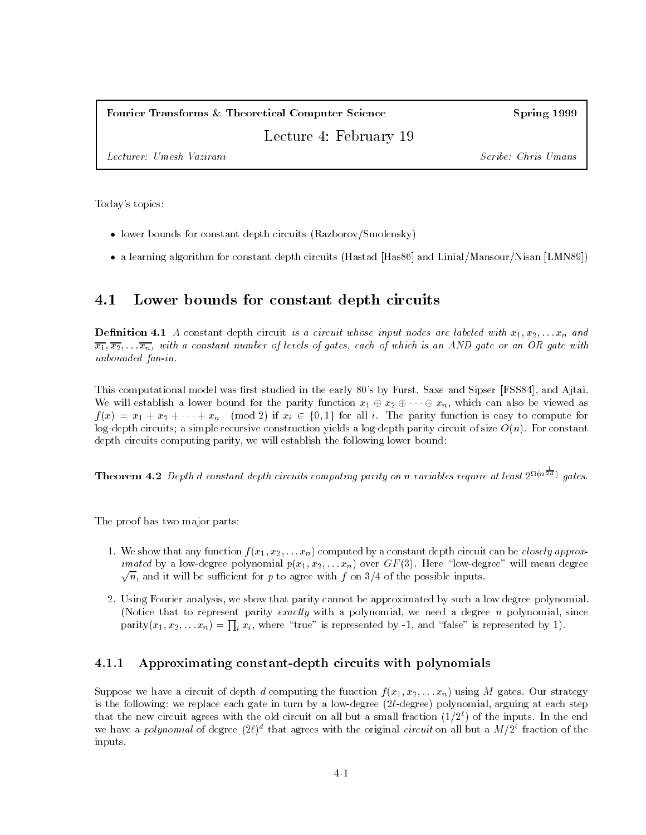#### Fourier Transforms & Theoretical Computer Science

Spring 1999

Lecture 4: February 19

Lecturer: Umesh Vazirani Scribe: Chris Umans

Today's topics:

- lower bounds for constant depth circuits (Razborov/Smolensky)
- $\bullet$  a learning algorithm for constant depth circuits (Hastad [Has80] and Linial/Mansour/Nisan [LMN89])  $\hspace{0.1em}$

#### 4.1Lower bounds for constant depth circuits

**Demition 4.1** A constant depth circuit is a circuit whose input nodes are labeled with  $x_1, x_2, \ldots x_n$  and  $\overline{x_1}, \overline{x_2}, \ldots \overline{x_n}$ , with a constant number of levels of gates, each of which is an AND gate or an OR gate with unbounded fan-in.

This computational model was first studied in the early 80's by Furst, Saxe and Sipser [FSS84], and Ajtai. We will establish a lower bound for the parity function  $x_1 \oplus x_2 \oplus \cdots \oplus x_n$ , which can also be viewed as  $f(x) = x_1 + x_2 + \cdots + x_n \pmod{2}$  if  $x_i \in \{0, 1\}$  for all i. The parity function is easy to compute for log-depth circuits; a simple recursive construction yields a log-depth parity circuit of size  $O(n)$ . For constant depth circuits computing parity, we will establish the following lower bound:

**Theorem 4.2** Depth d constant depth circuits computing parity on n variables require at least  $2^{\Omega(n\bar{2}4)}$  gates.

The proof has two major parts:

- 1. We show that any function  $f(x_1, x_2, \ldots, x_n)$  computed by a constant depth circuit can be *closely approximated* by a low-degree polynomial  $p(x_1, x_2, \ldots, x_n)$  over  $GF(3)$ . Here "low-degree" will mean degree  $\sqrt{n},$  and it will be sufficient for  $p$  to agree with  $f$  on  $3/4$  of the possible inputs.
- 2. Using Fourier analysis, we show that parity cannot be approximated by such a low degree polynomial. (Notice that to represent parity exactly with a polynomial, we need a degree n polynomial, since parity $(x_1, x_2, \ldots x_n) = \prod_i x_i$ , where "true" is represented by -1, and "false" is represented by 1).

## 4.1.1 Approximating constant-depth circuits with polynomials

Suppose we have a circuit of depth d computing the function  $f(x_1, x_2, \ldots, x_n)$  using M gates. Our strategy is the following: we replace each gate in turn by a low-degree  $(2\ell$ -degree) polynomial, arguing at each step that the new circuit agrees with the old circuit on all but a small fraction  $(1/2^{\ell})$  of the inputs. In the end we have a *polynomial* of degree (2*t*) that agrees with the original *circuit* on all but a *M+2* traction of the inputs.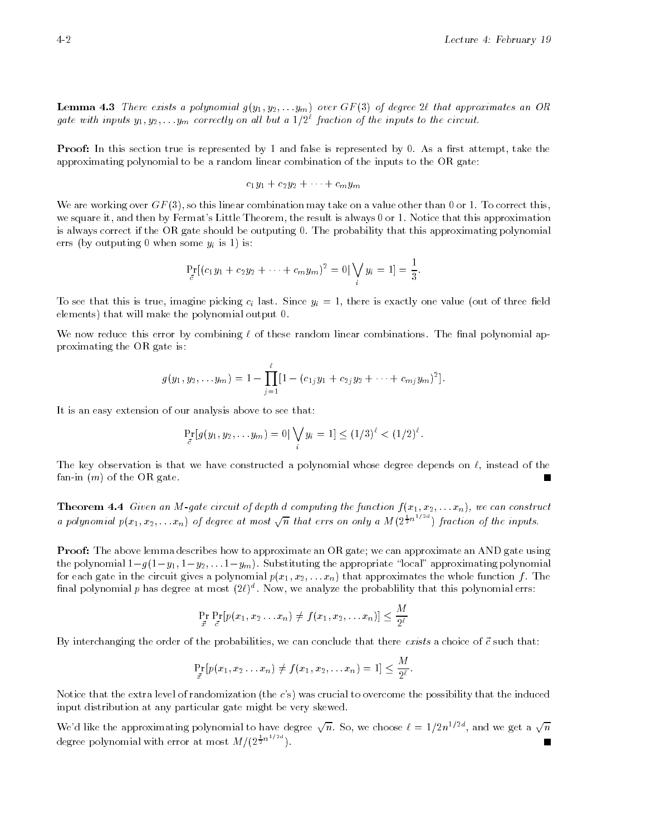**Demma 4.3** There exists a polynomial  $g(y_1, y_2, \ldots, y_m)$  over GF (3) of degree 2c that approximates an OR gate with inputs  $y_1, y_2, \ldots y_m$  correctly on all but a 1/2° fraction of the inputs to the circuit.

Proof: In this section true is represented by 1 and false is represented by 0. As a rst attempt, take the approximating polynomial to be a random linear combination of the inputs to the OR gate:

$$
c_1y_1+c_2y_2+\cdots+c_my_m
$$

We are working over  $GF(3)$ , so this linear combination may take on a value other than 0 or 1. To correct this, we square it, and then by Fermat's Little Theorem, the result is always 0 or 1. Notice that this approximation is always correct if the OR gate should be outputing 0. The probability that this approximating polynomial errs (by outputing 0 when some  $y_i$  is 1) is:

$$
\Pr_{\vec{c}}[(c_1y_1+c_2y_2+\cdots+c_my_m)^2=0]\bigvee_i y_i=1]=\frac{1}{3}.
$$

To see that this is true, imagine picking  $c_i$  last. Since  $y_i = 1$ , there is exactly one value (out of three field elements) that will make the polynomial output 0.

We now reduce this error by combining  $\ell$  of these random linear combinations. The final polynomial approximating the OR gate is:

$$
g(y_1, y_2,... y_m) = 1 - \prod_{j=1}^{\ell} [1 - (c_{1j}y_1 + c_{2j}y_2 + \cdots + c_{mj}y_m)^2].
$$

It is an easy extension of our analysis above to see that:

$$
\Pr_{\vec{c}}[g(y_1, y_2, \ldots, y_m)] = 0 | \bigvee_i y_i = 1] \le (1/3)^{\ell} < (1/2)^{\ell}.
$$

The key observation is that we have constructed a polynomial whose degree depends on  $\ell$ , instead of the fan-in  $(m)$  of the OR gate.

**Theorem**  $\mathbf{H}.\mathbf{F}$  Given an  $M$ -gate circuit of aepth a computing the function  $f(x_1, x_2, \ldots, x_n)$ , we can construct a polynomial  $p(x_1, x_2, \ldots, x_n)$  of degree at most  $\sqrt{n}$  that errs on only a  $M(2^{\frac{1}{2}n^{1/2}+1})$  fraction of the inputs.

Proof: The above lemma describes how to approximate an OR gate; we can approximate an AND gate using the polynomial  $1-g(1-y_1, 1-y_2, \ldots 1-y_m)$ . Substituting the appropriate "local" approximating polynomial for each gate in the circuit gives a polynomial  $p(x_1, x_2, \ldots, x_n)$  that approximates the whole function f. The  $\max$  polynomial  $p$  has degree at most (2 $\ell$ ) . Now, we analyze the probability that this polynomial errs:

$$
\Pr_{\vec{x}} \Pr_{\vec{c}}[p(x_1, x_2 \ldots x_n) \neq f(x_1, x_2, \ldots x_n)] \leq \frac{M}{2^{\ell}}
$$

By interchanging the order of the probabilities, we can conclude that there exists a choice of  $\vec{c}$  such that:

$$
\Pr_{\vec{x}}[p(x_1, x_2 \ldots x_n) \neq f(x_1, x_2, \ldots x_n) = 1] \leq \frac{M}{2^{\ell}}.
$$

Notice that the extra level of randomization (the  $c$ 's) was crucial to overcome the possibility that the induced input distribution at any particular gate might be very skewed.

We'd like the approximating polynomial to have degree  $\sqrt{n}$ . So, we choose  $\ell = 1/2n^{1/2d}$ , and we get a  $\sqrt{n}$ degree polynomial with error at most  $M/(2\pi^{n+2})$ .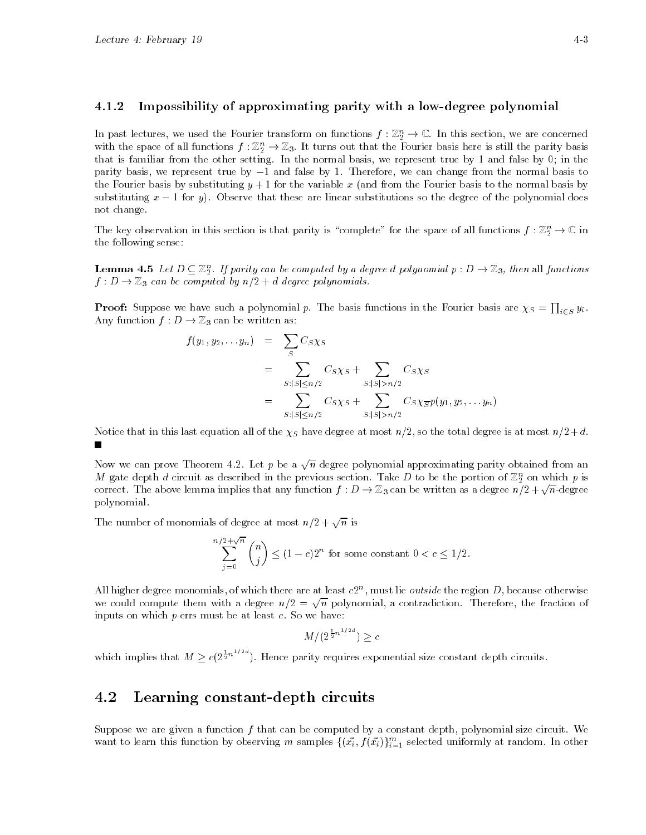## 4.1.2 Impossibility of approximating parity with a low-degree polynomial

In past lectures, we used the Fourier transform on functions  $f:\mathbb{Z}_2^n\to\mathbb{C}.$  In this section, we are concerned  $$ with the space of all functions  $f:\mathbb{Z}_2^n\to\mathbb{Z}_3.$  It turns out that the Fourier basis here is still the parity basis  $$ that is familiar from the other setting. In the normal basis, we represent true by 1 and false by 0; in the parity basis, we represent true by  $-1$  and false by 1. Therefore, we can change from the normal basis to the Fourier basis by substituting  $y + 1$  for the variable x (and from the Fourier basis to the normal basis by substituting  $x - 1$  for y). Observe that these are linear substitutions so the degree of the polynomial does not change.

The key observation in this section is that parity is "complete" for the space of all functions  $f : \mathbb{Z}_2^n \to \mathbb{C}$  in the following sense:

**Lemma 4.5** Let  $D \subseteq \mathbb{Z}_2^n$ . If parity can be computed by a degree d polynomial  $p: D \to \mathbb{Z}_3$ , then all functions  $f: D \to \mathbb{Z}_3$  can be computed by  $n/2 + d$  degree polynomials.

**Proof:** Suppose we have such a polynomial p. The basis functions in the Fourier basis are  $\chi_S = \prod_{i \in S} y_i$ . Any function  $f: D \to \mathbb{Z}_3$  can be written as:

$$
f(y_1, y_2,... y_n) = \sum_{S} C_S \chi_S
$$
  
= 
$$
\sum_{S: |S| \le n/2} C_S \chi_S + \sum_{S: |S| > n/2} C_S \chi_S
$$
  
= 
$$
\sum_{S: |S| \le n/2} C_S \chi_S + \sum_{S: |S| > n/2} C_S \chi_{\overline{S}} p(y_1, y_2,... y_n)
$$

Notice that in this last equation all of the  $\chi_S$  have degree at most  $n/2$ , so the total degree is at most  $n/2+d$ .  $\blacksquare$ 

Now we can prove Theorem 4.2. Let  $p$  be a  $\sqrt{n}$  degree polynomial approximating parity obtained from an  $m$  gate depth  $a$  circuit as described in the previous section. Take  $D$  to be the portion of  $\mathbb{Z}_2$  on which  $p$  is correct. The above lemma implies that any function  $f: D \to \mathbb{Z}_3$  can be written as a degree  $n/2 + \sqrt{n}$ -degree polynomial.

The number of monomials of degree at most  $n/2 + \sqrt{n}$  is

$$
\sum_{j=0}^{n/2+\sqrt{n}} \binom{n}{j} \le (1-c)2^n
$$
 for some constant  $0 < c \le 1/2$ .

All higher degree monomials, of which there are at least  $c_2$  , must he *outside* the region  $D$ , because otherwise we could compute them with a degree  $n/2 = \sqrt{n}$  polynomial, a contradiction. Therefore, the fraction of inputs on which  $p$  errs must be at least  $c$ . So we have:

$$
M/(2^{\frac{1}{2}n^{1/2d}}) \geq c
$$

which implies that  $M \geq c(2^{\frac{1}{2}n^{2}})$ . Hence parity requires exponential size constant depth circuits.

#### 4.2Learning constant-depth circuits

Suppose we are given a function  $f$  that can be computed by a constant depth, polynomial size circuit. We want to learn this function by observing m samples  $\{(x_i, f(x_i))\}_{i=1}^m$  selected uniformly at random. In other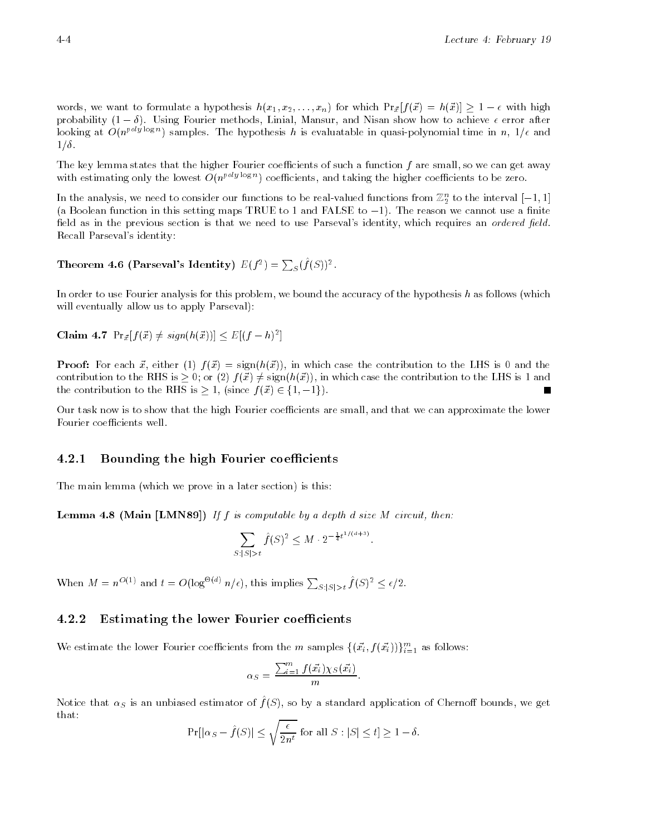words, we want to formulate a hypothesis  $h(x_1, x_2, \ldots, x_n)$  for which  $Pr_{\vec{x}}[f(\vec{x}) = h(\vec{x})] \geq 1 - \epsilon$  with high probability  $(1 - \delta)$ . Using Fourier methods, Linial, Mansur, and Nisan show how to achieve  $\epsilon$  error after looking at  $O(n^{p \times q} \approx n)$  samples. The hypothesis h is evaluatable in quasi-polynomial time in  $n$ , 1/6 and  $1/\delta$ .

The key lemma states that the higher Fourier coefficients of such a function  $f$  are small, so we can get away with estimating only the lowest  $O(n^{\epsilon \times s \times s})$  coefficients, and taking the higher coefficients to be zero.

In the analysis, we need to consider our functions to be real-valued functions from  $\mathbb{Z}_2$  to the interval  $[-1,1]$  $-$ (a Boolean function in this setting maps TRUE to 1 and FALSE to  $-1$ ). The reason we cannot use a finite field as in the previous section is that we need to use Parseval's identity, which requires an *ordered field*. Recall Parseval's identity:

# Theorem 4.6 (Parseval's Identity)  $E(f^2) = \sum_S (f(S))^2$ .

In order to use Fourier analysis for this problem, we bound the accuracy of the hypothesis  $h$  as follows (which will eventually allow us to apply Parseval):

Claim 4.7  $Pr_{\vec{x}}[f(\vec{x}) \neq sign(h(\vec{x}))] \leq E[(f-h)^2]$ 

Proof: For each ~x, either (1) f (~x) = sign(h(~x)), in which case the contribution to the LHS is 0 and the contribution to the RHS is  $> 0$ ; or  $(2) f(\vec{x}) \neq \text{sign}(h(\vec{x}))$ , in which case the contribution to the LHS is 1 and the contribution to the RHS is  $> 1$ , (since  $f(\vec{x}) \in \{1, -1\}$ ).

Our task now is to show that the high Fourier coefficients are small, and that we can approximate the lower Fourier coefficients well.

## 4.2.1 Bounding the high Fourier coefficients

The main lemma (which we prove in a later section) is this:

**Lemma 4.0 (Inam [LIMING9])** If f is computable by a depth a size  $M$  circuit, then:

$$
\sum_{S:|S|>t} \hat{f}(S)^2 \le M \cdot 2^{-\frac{1}{4}t^{1/(d+3)}}.
$$

When  $M = n^{O(1)}$  and  $t = O(\log^{\Theta(d)} n/\epsilon)$ , this implies  $\sum_{S \cup S \setminus t} f(S)^2 \leq \epsilon/2$ .

#### 4.2.2 Estimating the lower Fourier coefficients

We estimate the lower Fourier coefficients from the m samples  $\{(x_i, f(x_i))\}_{i=1}^m$  as follows:

$$
\alpha_S = \frac{\sum_{i=1}^m f(\vec{x_i}) \chi_S(\vec{x_i})}{m}.
$$

Notice that  $\alpha_S$  is an unbiased estimator or  $f(\beta)$ , so by a standard application of Chernon bounds, we get that:

$$
\Pr[|\alpha_S - \hat{f}(S)| \le \sqrt{\frac{\epsilon}{2n^t}} \text{ for all } S : |S| \le t] \ge 1 - \delta.
$$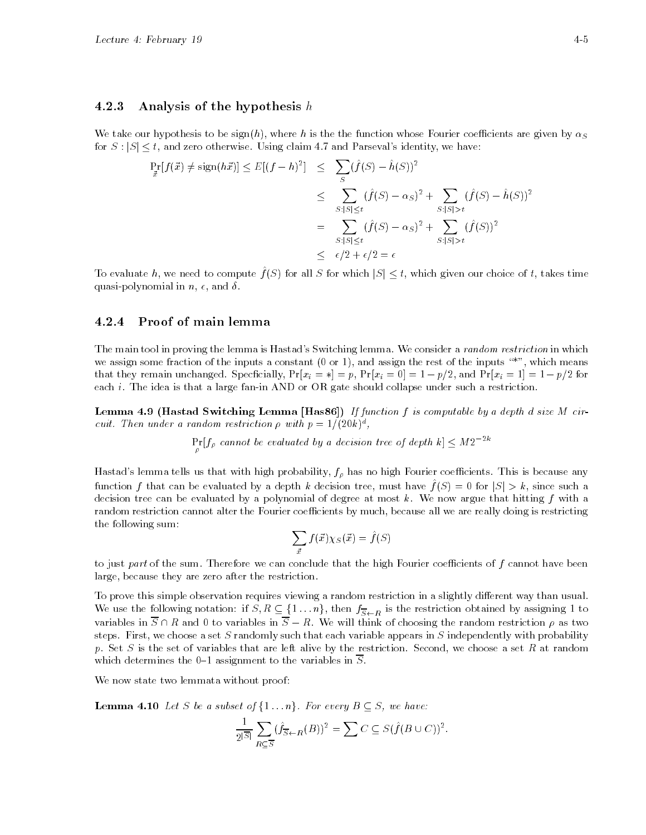#### 4.2.3 Analysis of the hypothesis  $h$

We take our hypothesis to be sign(h), where h is the the function whose Fourier coefficients are given by  $\alpha_S$ for  $S: |S| \leq t$ , and zero otherwise. Using claim 4.7 and Parseval's identity, we have:

$$
\Pr_{\vec{x}}[f(\vec{x}) \neq \text{sign}(h\vec{x})] \leq E[(f-h)^2] \leq \sum_{S} (\hat{f}(S) - \hat{h}(S))^2
$$
\n
$$
\leq \sum_{S:|S| \leq t} (\hat{f}(S) - \alpha_S)^2 + \sum_{S:|S| > t} (\hat{f}(S) - \hat{h}(S))^2
$$
\n
$$
= \sum_{S:|S| \leq t} (\hat{f}(S) - \alpha_S)^2 + \sum_{S:|S| > t} (\hat{f}(S))^2
$$
\n
$$
\leq \epsilon/2 + \epsilon/2 = \epsilon
$$

To evaluate h, we need to compute  $f(S)$  for all S for which  $|S| \leq t$ , which given our choice of t, takes time quasi-polynomial in  $n, \epsilon$ , and  $\delta$ .

# 4.2.4 Proof of main lemma

 $\mathbf{r}$  . The same state  $\mathbf{r}$ 

The main tool in proving the lemma is Hastad's Switching lemma. We consider a *random restriction* in which we assign some fraction of the inputs a constant  $(0 \text{ or } 1)$ , and assign the rest of the inputs  $**$ , which means that they remain unchanged. Specficially,  $Pr[x_i = *] = p$ ,  $Pr[x_i = 0] = 1 - p/2$ , and  $Pr[x_i = 1] = 1 - p/2$  for each *i*. The idea is that a large fan-in AND or OR gate should collapse under such a restriction.

Lemma 4.9 (Hastad Switching Lemma [Has86]) If function f is computable by a depth d size M circuit. Then under a random restriction  $\rho$  with  $p \equiv 1/(20\kappa)^{\frac{1}{2}}$ ,

 $\Pr[f_{\rho}]$  cannot be evaluated by a decision tree of depth  $k \leq M2^{-2\kappa}$ 

Hastad's lemma tells us that with high probability,  $f_\rho$  has no high Fourier coefficients. This is because any function f that can be evaluated by a depth k decision tree, must have  $f(S) = 0$  for  $|S| > k$ , since such a decision tree can be evaluated by a polynomial of degree at most  $k$ . We now argue that hitting  $f$  with a random restriction cannot alter the Fourier coefficients by much, because all we are really doing is restricting the following sum:

$$
\sum_{\vec{x}} f(\vec{x}) \chi_S(\vec{x}) = \hat{f}(S)
$$

to just part of the sum. Therefore we can conclude that the high Fourier coefficients of  $f$  cannot have been large, because they are zero after the restriction.

To prove this simple observation requires viewing a random restriction in a slightly different way than usual. We use the following notation: if  $S, R \subseteq \{1 \dots n\}$ , then  $f_{\overline{S} \leftarrow R}$  is the restriction obtained by assigning 1 to variables in  $\overline{S} \cap R$  and 0 to variables in  $\overline{S} - R$ . We will think of choosing the random restriction  $\rho$  as two steps. First, we choose a set S randomly such that each variable appears in S independently with probability p. Set S is the set of variables that are left alive by the restriction. Second, we choose a set R at random which determines the 0-1 assignment to the variables in  $\overline{S}$ .

We now state two lemmata without proof:

**Lemma 4.10** Let S be a subset of  $\{1 \dots n\}$ . For every  $B \subseteq S$ , we have:

$$
\frac{1}{2^{|\overline{S}|}}\sum_{R\subseteq \overline{S}} (\hat{f}_{\overline{S}\leftarrow R}(B))^2 = \sum C \subseteq S(\hat{f}(B\cup C))^2.
$$